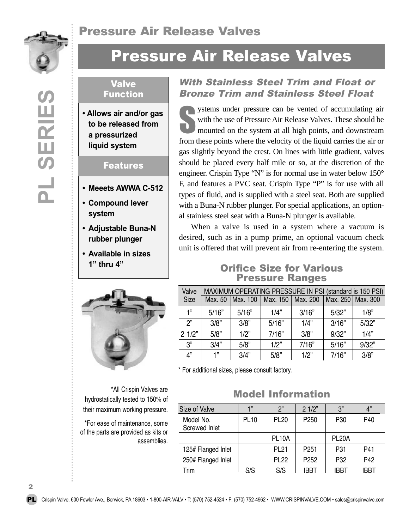

**PL SERIES**

 $\frac{1}{2}$ 

SERIES

# Pressure Air Release Valves

#### Valve Function

**• Allows air and/or gas to be released from a pressurized liquid system**

#### Features

- **• Meeets AWWA C-512**
- **• Compound lever system**
- **• Adjustable Buna-N rubber plunger**
- **Available in sizes 1" thru 4"**



hydrostatically tested to 150% of their maximum working pressure.

\*For ease of maintenance, some of the parts are provided as kits or assemblies.

#### With Stainless Steel Trim and Float or Bronze Trim and Stainless Steel Float

Surface with the use of Pressure can be vented of accumulating air with the use of Pressure Air Release Valves. These should be mounted on the system at all high points, and downstream with the use of Pressure Air Release Valves. These should be mounted on the system at all high points, and downstream from these points where the velocity of the liquid carries the air or gas slightly beyond the crest. On lines with little gradient, valves should be placed every half mile or so, at the discretion of the engineer. Crispin Type "N" is for normal use in water below 150° F, and features a PVC seat. Crispin Type "P" is for use with all types of fluid, and is supplied with a steel seat. Both are supplied with a Buna-N rubber plunger. For special applications, an optional stainless steel seat with a Buna-N plunger is available.

When a valve is used in a system where a vacuum is desired, such as in a pump prime, an optional vacuum check unit is offered that will prevent air from re-entering the system.

#### Orifice Size for Various Pressure Ranges

| Valve | MAXIMUM OPERATING PRESSURE IN PSI (standard is 150 PSI) |          |                     |       |                     |       |
|-------|---------------------------------------------------------|----------|---------------------|-------|---------------------|-------|
| Size  | Max. 50                                                 | Max. 100 | Max. 150   Max. 200 |       | Max. 250   Max. 300 |       |
| 1"    | 5/16"                                                   | 5/16"    | 1/4"                | 3/16" | 5/32"               | 1/8"  |
| ን"    | 3/8"                                                    | 3/8"     | 5/16"               | 1/4"  | 3/16"               | 5/32" |
| 21/2" | 5/8"                                                    | 1/2"     | 7/16"               | 3/8"  | 9/32"               | 1/4"  |
| 3"    | 3/4"                                                    | 5/8"     | 1/2"                | 7/16" | 5/16"               | 9/32" |
| 4"    | 1"                                                      | 3/4"     | 5/8"                | 1/2"  | 7/16"               | 3/8"  |

\* For additional sizes, please consult factory.

## \*All Crispin Valves are **All Crispin Valves are Model Information**

| Size of Valve              | 1"          | ን"                 | 21/2"            | 3"                 | 4"   |
|----------------------------|-------------|--------------------|------------------|--------------------|------|
| Model No.<br>Screwed Inlet | <b>PL10</b> | <b>PL20</b>        | P <sub>250</sub> | P <sub>30</sub>    | P40  |
|                            |             | PL <sub>10</sub> A |                  | PL <sub>20</sub> A |      |
| 125# Flanged Inlet         |             | PL <sub>21</sub>   | P <sub>251</sub> | P31                | P41  |
| 250# Flanged Inlet         |             | <b>PL22</b>        | P <sub>252</sub> | P32                | P42  |
| Trim                       | S/S         | S/S                | <b>IRRT</b>      | IRRT               | IRRT |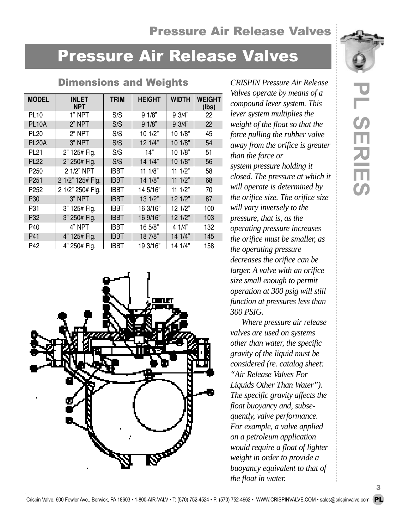## Pressure Air Release Valves

**PL**

 **SERIES**

# Pressure Air Release Valves

Dimensions and Weights *CRISPIN Pressure Air Release*

| <b>MODEL</b>       | INLET<br><b>NPT</b> | <b>TRIM</b> | <b>HEIGHT</b> | <b>WIDTH</b> | <b>WEIGHT</b><br>(lbs) |
|--------------------|---------------------|-------------|---------------|--------------|------------------------|
| <b>PL10</b>        | 1" NPT              | S/S         | 91/8"         | 9 3/4"       | 22                     |
| <b>PL10A</b>       | 2" NPT              | S/S         | 91/8"         | 9 3/4"       | 22                     |
| <b>PL20</b>        | 2" NPT              | S/S         | 10 1/2"       | 10 1/8"      | 45                     |
| PL <sub>20</sub> A | 3" NPT              | S/S         | 12 1/4"       | 10 1/8"      | 54                     |
| <b>PL21</b>        | 2" 125# Flg.        | S/S         | 14"           | 10 1/8"      | 51                     |
| <b>PL22</b>        | 2" 250# Flg.        | S/S         | 14 1/4"       | 10 1/8"      | 56                     |
| P <sub>250</sub>   | 2 1/2" NPT          | <b>IBBT</b> | 11 1/8"       | 111/2"       | 58                     |
| P <sub>251</sub>   | 2 1/2" 125# Flg.    | <b>IBBT</b> | 14 1/8"       | 111/2"       | 68                     |
| P <sub>252</sub>   | 2 1/2" 250# Flg.    | <b>IBBT</b> | 14 5/16"      | 111/2"       | 70                     |
| P30                | 3" NPT              | <b>IBBT</b> | 13 1/2"       | 12 1/2"      | 87                     |
| P31                | 3" 125# Flg.        | <b>IBBT</b> | 16 3/16"      | 12 1/2"      | 100                    |
| P32                | 3" 250# Flg.        | <b>IBBT</b> | 16 9/16"      | 12 1/2"      | 103                    |
| P40                | 4" NPT              | <b>IBBT</b> | 16 5/8"       | 4 1/4"       | 132                    |
| P41                | 4" 125# Flg.        | <b>IBBT</b> | 18 7/8"       | 14 1/4"      | 145                    |
| P42                | 4" 250# Flg.        | IBBT        | 19 3/16"      | 14 1/4"      | 158                    |



*Valves operate by means of a compound lever system. This lever system multiplies the weight of the float so that the force pulling the rubber valve away from the orifice is greater than the force or system pressure holding it closed. The pressure at which it will operate is determined by the orifice size. The orifice size will vary inversely to the pressure, that is, as the operating pressure increases the orifice must be smaller, as the operating pressure decreases the orifice can be larger. A valve with an orifice size small enough to permit operation at 300 psig will still function at pressures less than 300 PSIG.* 

*Where pressure air release valves are used on systems other than water, the specific gravity of the liquid must be considered (re. catalog sheet: "Air Release Valves For Liquids Other Than Water"). The specific gravity affects the float buoyancy and, subsequently, valve performance. For example, a valve applied on a petroleum application would require a float of lighter weight in order to provide a buoyancy equivalent to that of the float in water.*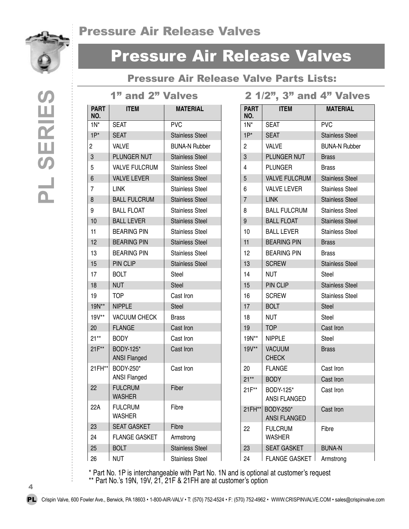## Pressure Air Release Valves



# Pressure Air Release Valves

### Pressure Air Release Valve Parts Lists:

1" and 2" Valves

2 1/2", 3" and 4" Valves

| <b>PART</b><br>NO. | <b>ITEM</b>                      | <b>MATERIAL</b>        | <b>PART</b><br>NO. | <b>ITEM</b>                   | <b>MATERIAL</b>        |
|--------------------|----------------------------------|------------------------|--------------------|-------------------------------|------------------------|
| $1N^*$             | <b>SEAT</b>                      | <b>PVC</b>             | $1N^*$             | <b>SEAT</b>                   | <b>PVC</b>             |
| $1P^*$             | <b>SEAT</b>                      | <b>Stainless Steel</b> | $1P^*$             | <b>SEAT</b>                   | <b>Stainless Steel</b> |
| $\overline{c}$     | <b>VALVE</b>                     | <b>BUNA-N Rubber</b>   | $\overline{2}$     | <b>VALVE</b>                  | <b>BUNA-N Rubber</b>   |
| 3                  | PLUNGER NUT                      | <b>Stainless Steel</b> | 3                  | PLUNGER NUT                   | <b>Brass</b>           |
| 5                  | <b>VALVE FULCRUM</b>             | <b>Stainless Steel</b> | 4                  | <b>PLUNGER</b>                | <b>Brass</b>           |
| 6                  | <b>VALVE LEVER</b>               | <b>Stainless Steel</b> | $\overline{5}$     | <b>VALVE FULCRUM</b>          | <b>Stainless Steel</b> |
| $\overline{7}$     | <b>LINK</b>                      | <b>Stainless Steel</b> | 6                  | <b>VALVE LEVER</b>            | <b>Stainless Steel</b> |
| 8                  | <b>BALL FULCRUM</b>              | <b>Stainless Steel</b> | $\overline{7}$     | <b>LINK</b>                   | <b>Stainless Steel</b> |
| 9                  | <b>BALL FLOAT</b>                | <b>Stainless Steel</b> | 8                  | <b>BALL FULCRUM</b>           | <b>Stainless Steel</b> |
| 10                 | <b>BALL LEVER</b>                | <b>Stainless Steel</b> | 9                  | <b>BALL FLOAT</b>             | <b>Stainless Steel</b> |
| 11                 | <b>BEARING PIN</b>               | <b>Stainless Steel</b> | 10                 | <b>BALL LEVER</b>             | <b>Stainless Steel</b> |
| 12                 | <b>BEARING PIN</b>               | <b>Stainless Steel</b> | 11                 | <b>BEARING PIN</b>            | <b>Brass</b>           |
| 13                 | <b>BEARING PIN</b>               | <b>Stainless Steel</b> | 12                 | <b>BEARING PIN</b>            | <b>Brass</b>           |
| 15                 | PIN CLIP                         | <b>Stainless Steel</b> | 13                 | <b>SCREW</b>                  | <b>Stainless Steel</b> |
| 17                 | <b>BOLT</b>                      | Steel                  | 14                 | <b>NUT</b>                    | Steel                  |
| 18                 | <b>NUT</b>                       | <b>Steel</b>           | 15                 | PIN CLIP                      | <b>Stainless Steel</b> |
| 19                 | <b>TOP</b>                       | Cast Iron              | 16                 | <b>SCREW</b>                  | <b>Stainless Steel</b> |
| 19N**              | <b>NIPPLE</b>                    | Steel                  | 17                 | <b>BOLT</b>                   | Steel                  |
| 19V**              | <b>VACUUM CHECK</b>              | <b>Brass</b>           | 18                 | <b>NUT</b>                    | Steel                  |
| 20                 | <b>FLANGE</b>                    | Cast Iron              | 19                 | <b>TOP</b>                    | Cast Iron              |
| $21**$             | <b>BODY</b>                      | Cast Iron              | 19N**              | <b>NIPPLE</b>                 | Steel                  |
| $21F^{**}$         | BODY-125*<br><b>ANSI Flanged</b> | Cast Iron              | 19V**              | <b>VACUUM</b><br><b>CHECK</b> | <b>Brass</b>           |
| 21FH**             | BODY-250*                        | Cast Iron              | 20                 | <b>FLANGE</b>                 | Cast Iron              |
|                    | <b>ANSI Flanged</b>              |                        | $21**$             | <b>BODY</b>                   | Cast Iron              |
| 22                 | <b>FULCRUM</b><br><b>WASHER</b>  | Fiber                  | 21F**              | BODY-125*<br>ANSI FLANGED     | Cast Iron              |
| 22A                | <b>FULCRUM</b><br><b>WASHER</b>  | Fibre                  | 21FH**             | BODY-250*<br>ANSI FLANGED     | Cast Iron              |
| 23                 | <b>SEAT GASKET</b>               | Fibre                  | 22                 | <b>FULCRUM</b>                | Fibre                  |
| 24                 | <b>FLANGE GASKET</b>             | Armstrong              |                    | <b>WASHER</b>                 |                        |
| 25                 | <b>BOLT</b>                      | <b>Stainless Steel</b> | 23                 | <b>SEAT GASKET</b>            | <b>BUNA-N</b>          |
| 26                 | <b>NUT</b>                       | <b>Stainless Steel</b> | 24                 | <b>FLANGE GASKET</b>          | Armstrong              |

\* Part No. 1P is interchangeable with Part No. 1N and is optional at customer's request \*\* Part No.'s 19N, 19V, 21, 21F & 21FH are at customer's option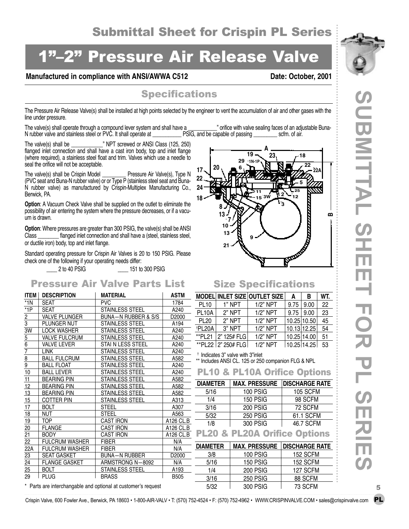## 2" Pressure Air Release Valve

#### Manufactured in compliance with ANSI/AWWA C512 Date: October, 2001

#### **Specifications**

The Pressure Air Release Valve(s) shall be installed at high points selected by the engineer to vent the accumulation of air and other gases with the line under pressure.

The valve(s) shall operate through a compound lever system and shall have a \_\_\_\_\_\_\_\_\_\_\_" orifice with valve sealing faces of an adjustable Buna-<br>N rubber valve and stainless steel or PVC. It shall operate at a come PSIG, a N rubber valve and stainless steel or PVC. It shall operate at **EXEL PSIG, and be capable of passing** scfm. of air.

The valve(s) shall be \_\_\_\_\_\_\_\_\_\_\_\_" NPT screwed or ANSI Class (125, 250) flanged inlet connection and shall have a cast iron body, top and inlet flange (where required), a stainless steel float and trim. Valves which use a needle to seal the orifice will not be acceptable.

The valve(s) shall be Crispin Model \_\_\_\_\_\_\_\_\_ Pressure Air Valve(s), Type N (PVC seat and Buna-N rubber valve) or or Type P (stainless steel seat and Buna-N rubber valve) as manufactured by Crispin-Multiplex Manufacturing Co., Berwick, PA.

**Option:** A Vacuum Check Valve shall be supplied on the outlet to eliminate the possibility of air entering the system where the pressure decreases, or if a vacuum is drawn.

**Option**: Where pressures are greater than 300 PSIG, the valve(s) shall be ANSI Class \_\_\_\_\_\_\_\_ flanged inlet connection and shall have a (steel, stainless steel, or ductile iron) body, top and inlet flange.

Standard operating pressure for Crispin Air Valves is 20 to 150 PSIG. Please check one of the following if your operating needs differ:

\_\_\_\_ 2 to 40 PSIG \_\_\_\_ 151 to 300 PSIG

#### Pressure Air Valve Parts List

| <b>ITEM</b>     | <b>DESCRIPTION</b>    | <b>MATERIAL</b>        | <b>ASTM</b> | Ŋ              |
|-----------------|-----------------------|------------------------|-------------|----------------|
| $*1N$           | <b>SEAT</b>           | <b>PVC</b>             | 1784        |                |
| $*1P$           | <b>SFAT</b>           | <b>STAINLESS STEEL</b> | A240        | $\overline{1}$ |
| 2               | <b>VALVE PLUNGER</b>  | BUNA-N RUBBER & S/S    | D2000       |                |
| 3               | PLUNGER NUT           | <b>STAINLESS STEEL</b> | A194        |                |
| 3W              | <b>LOCK WASHER</b>    | <b>STAINLESS STEEL</b> | A240        | $\overline{t}$ |
| 5               | <b>VALVE FULCRUM</b>  | <b>STAINLESS STEEL</b> | A240        | $\star$        |
| $\overline{6}$  | VALVE LEVER           | STAI N LESS STEEL      | A240        | ,              |
| 7               | <b>LINK</b>           | <b>STAINLESS STEEL</b> | A240        |                |
| $\overline{8}$  | <b>BALL FULCRUM</b>   | <b>STAINLESS STEEL</b> | A582        | $\star$        |
| 9               | <b>BALL FLOAT</b>     | <b>STAINLESS STEEL</b> | A240        |                |
| 10              | <b>BALL LEVER</b>     | <b>STAINLESS STEEL</b> | A240        |                |
| $\overline{11}$ | <b>BEARING PIN</b>    | STAINLESS STEEL        | A582        |                |
| <u>12</u>       | <b>BEARING PIN</b>    | <b>STAINLESS STEEL</b> | A582        |                |
| 13              | <b>BEARING PIN</b>    | <b>STAINLESS STEEL</b> | A582        |                |
| 15              | <b>COTTER PIN</b>     | STAINLESS STEEL        | A313        |                |
| 17              | <b>BOLT</b>           | <b>STEEL</b>           | A307        |                |
| 18              | <b>NUT</b>            | <b>STEEL</b>           | A563        |                |
| 19              | TOP.                  | <b>CAST IRON</b>       | A126 CL.B   |                |
| 20              | <b>FLANGE</b>         | <b>CAST IRON</b>       | A126 CL.B   |                |
| $\overline{21}$ | <b>BODY</b>           | <b>CAST IRON</b>       | A126 CL.B   |                |
| 22              | <b>FULCRUM WASHER</b> | <b>FIBER</b>           | N/A         |                |
| 22A             | <b>FULCRUM WASHER</b> | <b>FIBER</b>           | N/A         | $\overline{a}$ |
| 23              | <b>SEAT GASKET</b>    | <b>BUNA-N RUBBER</b>   | D2000       |                |
| 24              | <b>FLANGE GASKET</b>  | ARMSTRONG N-8092       | N/A         |                |
| 25              | BOLT                  | STAINLESS STEEL        | A193        |                |
| 29              | <b>PLUG</b>           | <b>BRASS</b>           | <b>B505</b> |                |
|                 |                       |                        |             |                |



#### Size Specifications

|                    |                    | MODEL INLET SIZE OUTLET SIZE | A           | В           | WT. |
|--------------------|--------------------|------------------------------|-------------|-------------|-----|
| <b>PL10</b>        | 1" NPT             | $1/2$ " NPT                  | 9.75        | 9.00        | 22  |
| PL <sub>10</sub> A | 2" NPT             | $1/2$ " NPT                  | 9.75        | 9.00        | 23  |
| <b>PL20</b>        | 2" NPT             | $1/2$ " NPT                  | 10.25 10.50 |             | 45  |
| <sup>†</sup> PL20A | 3" NPT             | $1/2$ " NPT                  | 10.13 12.25 |             | 54  |
| **PL21             | 2" 125# FLG        | $1/2$ " NPT                  | 10.25 14.00 |             | 51  |
|                    | **PL22 2" 250# FLG | $1/2$ " NPT                  |             | 10.25 14.25 | 53  |

Indicates 3" valve with 3"inlet

### \*\* Includes ANSI CL. 125 or 250 companion FLG & NPL

|                 | <b>PL10 &amp; PL10A Orifice Options</b> |                                       |
|-----------------|-----------------------------------------|---------------------------------------|
| <b>DIAMETER</b> |                                         | <b>MAX. PRESSURE   DISCHARGE RATE</b> |
| 5/16            | <b>100 PSIG</b>                         | <b>105 SCFM</b>                       |
| 1/4             | 150 PSIG                                | 98 SCFM                               |
| 3/16            | <b>200 PSIG</b>                         | 72 SCFM                               |
| 5/32            | <b>250 PSIG</b>                         | 61.1 SCFM                             |
| 1/8             | <b>300 PSIG</b>                         | 46.7 SCFM                             |
|                 |                                         |                                       |
|                 | <b>PL20 &amp; PL20A Orifice Options</b> |                                       |
| <b>DIAMETER</b> | <b>MAX. PRESSURE</b>                    | <b>DISCHARGE RATE</b>                 |
| 3/8             | 100 PSIG                                | 152 SCFM                              |
| 5/16            | 150 PSIG                                | 152 SCFM                              |
| 1/4             | <b>200 PSIG</b>                         | 127 SCFM                              |

5/32 300 PSIG 73 SCFM

\* Parts are interchangable and optional at customer's request  $5/32$  | 300 PSIG | 73 SCFM 5

Crispin Valve, 600 Fowler Ave., Berwick, PA 18603 • 1-800-AIR-VALV • T: (570) 752-4524 • F: (570) 752-4962 • WWW.CRISPINVALVE.COM • sales@crispinvalve.com PL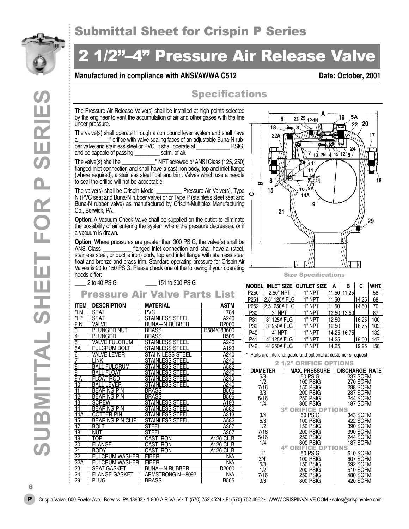

## 4" Pressure Air Release Valve

#### **Manufactured in compliance with ANSI/AWWA C512** Date: October, 2001

#### **Specifications**

The Pressure Air Release Valve(s) shall be installed at high points selected by the engineer to vent the accumulation of air and other gases with the line under pressure.

The valve(s) shall operate through a compound lever system and shall have a \_\_\_\_\_\_\_\_\_\_\_\_" orifice with valve sealing faces of an adjustable Buna-N rub-<br>ber valve and stainless steel or PVC. It shall operate at [1986] ber valve and stainless steel or PVC. It shall operate at \_\_\_\_\_\_\_\_\_\_\_\_ PSIG, and be capable of passing

The valve(s) shall be  $\blacksquare$  " NPT screwed or ANSI Class (125, 250) flanged inlet connection and shall have a cast iron body, top and inlet flange (where required), a stainless steel float and trim. Valves which use a needle to seal the orifice will not be acceptable.

The valve(s) shall be Crispin Model \_\_\_\_\_\_\_\_\_ Pressure Air Valve(s), Type N (PVC seat and Buna-N rubber valve) or or Type P (stainless steel seat and Buna-N rubber valve) as manufactured by Crispin-Multiplex Manufacturing Co., Berwick, PA.

**Option**: A Vacuum Check Valve shall be supplied on the outlet to eliminate the possibility of air entering the system where the pressure decreases, or if a vacuum is drawn.

**Option**: Where pressures are greater than 300 PSIG, the valve(s) shall be ANSI Class flanged inlet connection and shall have a (steel. flanged inlet connection and shall have a (steel, stainless steel, or ductile iron) body, top and inlet flange with stainless steel float and bronze and brass trim. Standard operating pressure for Crispin Air Valves is 20 to 150 PSIG. Please check one of the following if your operating needs differ:



#### \_\_\_\_ 2 to 40 PSIG \_\_\_\_ 151 to 300 PSIG

### Pressure Air Valve Parts List

| ITEM                                                                                               | <b>DESCRIPTION</b>      | <b>MATERIAL</b>        | <b>ASTM</b>       |  |  |  |
|----------------------------------------------------------------------------------------------------|-------------------------|------------------------|-------------------|--|--|--|
| *l N                                                                                               | SEAT                    | <b>PVC</b>             | 1784              |  |  |  |
| $\overline{\mathsf{P}}$                                                                            | <b>SEAT</b>             | <b>STAINLESS STEEL</b> | A240              |  |  |  |
|                                                                                                    | VALVE                   | BUNA-N RUBBER          | D <sub>2000</sub> |  |  |  |
|                                                                                                    | PLUNGER NUT             | <b>BRASS</b>           | B584/C83600       |  |  |  |
| <u>2 N<br/>3<br/>4<br/>5<br/>5A</u>                                                                | <b>PLUNGER</b>          | <b>BRASS</b>           | <b>B505</b>       |  |  |  |
|                                                                                                    | <b>VALVE FULCRUM</b>    | <b>STAINLESS STEEL</b> | A240              |  |  |  |
|                                                                                                    | <b>FULCRUM BOLT</b>     | STAINLESS STEEL        | A193              |  |  |  |
|                                                                                                    | <b>VALVE LEVER</b>      | STAI N LESS STEEL      | A240              |  |  |  |
|                                                                                                    | LINK                    | STAINLESS STEEL        | A240              |  |  |  |
|                                                                                                    | <b>BALL FULCRUM</b>     | <b>STAINLESS STEEL</b> | A582              |  |  |  |
| $\begin{array}{c}\n 6 \\ \hline\n 7 \\ 8 \\ \hline\n 9 \\ \hline\n 9 \\ \hline\n 9 \\ \end{array}$ | <b>BALL FLOAT</b>       | <b>STAINLESS STEEL</b> | A240              |  |  |  |
|                                                                                                    | <b>FLOAT ROD</b>        | <b>STAINLESS STEEL</b> | A240              |  |  |  |
| 10                                                                                                 | <b>BALL LEVER</b>       | STAINLESS STEEL        | A240              |  |  |  |
| 11                                                                                                 | <b>BEARING PIN</b>      | <b>BRASS</b>           | <b>B505</b>       |  |  |  |
| 12                                                                                                 | <b>BEARING PIN</b>      | <b>BRASS</b>           | <b>B505</b>       |  |  |  |
| 13                                                                                                 | <b>SCREW</b>            | <b>STAINLESS STEEL</b> | A193              |  |  |  |
| $\overline{14}$                                                                                    | <b>BEARING PIN</b>      | STAINLESS STEEL        | A582              |  |  |  |
| 14A                                                                                                | <b>COTTER PIN</b>       | <b>STAINLESS STEEL</b> | A313              |  |  |  |
| <u> 15</u>                                                                                         | <b>BEARING PIN CLIP</b> | <b>STAINLESS STEEL</b> | A582              |  |  |  |
| 17                                                                                                 | <b>BOLT</b>             | <b>STEEL</b>           | A307              |  |  |  |
| 18                                                                                                 | NUT                     | <b>STEEL</b>           | A307              |  |  |  |
| 19                                                                                                 | TOP                     | CAST IRON              | A126 CL.B         |  |  |  |
| $\frac{20}{21}$                                                                                    | <b>FLANGE</b>           | CAST IRON              | A126 CL.B         |  |  |  |
|                                                                                                    | <b>BODY</b>             | <b>CAST IRON</b>       | A126 CL.B         |  |  |  |
| $\frac{1}{22}$                                                                                     | <b>FULCRUM WASHER</b>   | <b>FIBER</b>           | N/A               |  |  |  |
|                                                                                                    | <b>FULCRUM WASHER</b>   | <b>FIBER</b>           | N/A               |  |  |  |
| <u>==<br/>22A</u><br><u>23<br/>24</u><br>29                                                        | <b>SEAT GASKET</b>      | <b>BUNA-N RUBBER</b>   | D <sub>2000</sub> |  |  |  |
|                                                                                                    | <b>FLANGE GASKET</b>    | ARMSTRONG N-8092       | N/A               |  |  |  |
|                                                                                                    | <b>PI UG</b>            | <b>BRASS</b>           | <b>B505</b>       |  |  |  |
|                                                                                                    |                         |                        |                   |  |  |  |

| <b>MODEL</b>     |               | <b>INLET SIZE   OUTLET SIZE</b> | А     | В     | C     | WHT. |
|------------------|---------------|---------------------------------|-------|-------|-------|------|
| P <sub>250</sub> | 2.50" NPT     | 1" NPT                          | 11.50 | 11.25 |       | 58   |
| P <sub>251</sub> | 2.5" 125# FLG | 1" NPT                          | 11.50 |       | 14.25 | 68   |
| P <sub>252</sub> | 2.5" 250# FLG | 1" NPT                          | 11.50 |       | 14.50 | 70   |
| P <sub>30</sub>  | 3" NPT        | 1" NPT                          | 12.50 | 13.50 |       | 87   |
| P31              | 3" 125# FLG   | 1" NPT                          | 12.50 |       | 16.25 | 100  |
| P32              | 3" 250# FLG   | 1" NPT                          | 12.50 |       | 16.75 | 103  |
| P40              | 4" NPT        | 1" NPT                          | 14.25 | 16.75 |       | 132  |
| P41              | 4" 125# FLG   | 1" NPT                          | 14.25 |       | 19.00 | 147  |
| P <sub>42</sub>  | 4" 250# FLG   | 1" NPT                          | 14.25 |       | 19.25 | 158  |

\* Parts are interchangable and optional at customer's request

2 1/2" ORIFICE OPTIONS

| DIAMETER                                | <b>MAX. PRESSURE</b>                                                                                               | <b>DISCHARGE RATE</b>                                                                |
|-----------------------------------------|--------------------------------------------------------------------------------------------------------------------|--------------------------------------------------------------------------------------|
| 5/8<br>1/2<br>7/16<br>3/8<br>5/16       | <b>50 PSIG</b><br><b>100 PSIG</b><br><b>150 PSIG</b><br><b>200 PSIG</b><br><b>250 PSIG</b>                         | <b>237 SCFM</b><br>270 SCFM<br><b>298 SCFM</b><br><b>287 SCFM</b><br><b>244 SCFM</b> |
| 1/4<br>3/4                              | 300 PSIG<br>3 <sup>n</sup><br><b>RIFICE OPTIONS</b><br>50 PSIG                                                     | 187 SCFM<br><b>343 SCFM</b>                                                          |
| 5/8<br>1/2<br>7/16<br>5/16<br>1/4       | <b>100 PSIG</b><br><b>150 PSIG</b><br><b>200 PSIG</b><br><b>250 PSIG</b><br>300 PSIG<br>4"<br><b>IFICE OPTIONS</b> | 422 SCFM<br><b>390 SCFM</b><br>390 SCFM<br><b>244 SCFM</b><br>187 SCFM               |
| 1"<br>3/4"<br>5/8<br>1/2<br>7/16<br>3/8 | 50 PSIG<br><b>100 PSIG</b><br><b>150 PSIG</b><br><b>200 PSIG</b><br><b>250 PSIG</b><br>300 PSIG                    | 610 SCFM<br>607 SCFM<br>592 SCFM<br><b>510 SCFM</b><br>480 SCFM<br>420 SCFM          |